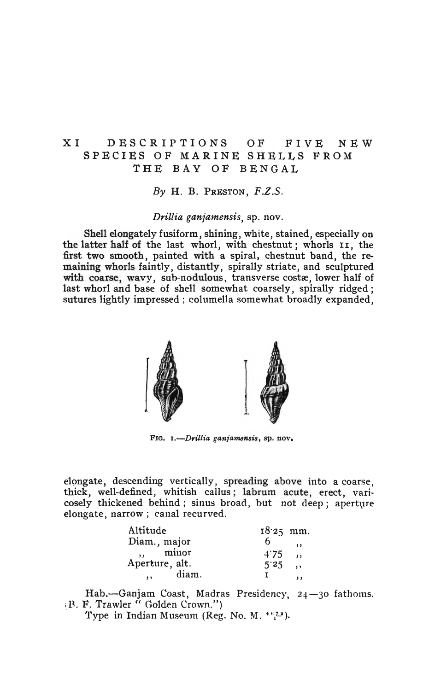# XI DESCRIPTIONS OF FIVE NEW SPECIES OF MARINE SHELLS FROM THE BAY OF BENGAL

 $By$  H. B. PRESTON,  $F.Z.S.$ 

*Drillia ganiamensis,* sp. nov.

Shell elongately fusiform, shining, white, stained, especially on the latter half of the last whorl, with chestnut; whorls II, the first two smooth, painted with a spiral, chestnut band, the remaining whorls faintly, distantly, spirally striate, and sculptured with coarse, wavy, sub-nodulous, transverse costæ, lower half of last whorl and base of shell somewhat coarsely, spirally ridged; sutures lightly impressed ; columella somewhat broadly expanded.



FIG. 1.-Drillia ganjamensis, sp. nov.

elongate, descending vertically, spreading above into a coarse, thick, well-defined, whitish callus; labrum acute, erect, varicosely thickened behind; sinus broad, but not deep; aperture elongate, narrow; canal recurved.

| Altitude                         | $18.25$ mm. |                      |
|----------------------------------|-------------|----------------------|
| Diam., major                     |             | $^{\bullet}$         |
| minor                            | 4.75        | $\ddot{\phantom{1}}$ |
| Aperture, alt.                   | 5'25        | $\ddot{\phantom{a}}$ |
| diam.<br>$\overline{\mathbf{1}}$ |             | $, \,$               |

Hab.-Ganjam Coast, Madras Presidency, 24-30 fathoms. I~. F. Trs.wIer « 'Golden Crown.")

Type in Indian Museum (Reg. No. M.  $^{*6}$ .  $^{*2}$ ).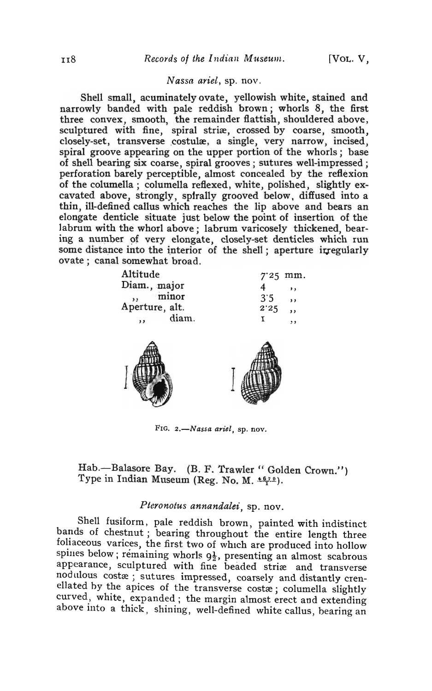### *Nassa ariel,* sp. nov.

Shell small, acuminatelyovate, yellowish white, stained and narrowly banded with pale reddish brown; whorls 8, the first three convex, smooth, the remainder flattish, shouldered above, sculptured with fine, spiral striæ, crossed by coarse, smooth, closely-set, transverse costulæ, a single, very narrow, incised, spiral groove appearing on the upper portion of the whorls; base of shell bearing six coarse, spiral grooves; sutures well-impressed; perforation barely perceptible, almost concealed by the reflexion of the columella; columella reflexed, white, polished, slightly excavated above, strongly, spirally grooved below, diffused into a thin, ill-defined callus which reaches the lip above and bears an elongate denticle situate just below the point of insertion of the labrum with the whorl above; labrum varicosely thickened, bearing a number of very elongate, closely-set denticles which run some distance into the interior of the shell; aperture irregularly ovate; canal somewhat broad.



FIG. 2.-Nassa ariel, sp. nov.

Hab.-- Balasore Bay. (B. F. Trawler " Golden Crown.") Type in Indian Museum (Reg. No. M.  $\pm \frac{679}{1}$ ).

### *Pteronotus annandalei,* sp. nov.

. Shell fusiform, pale reddish brown, painted with indistinct bands of chestnut; bearing throughout the entire length three foliaceous varices, the first two of which are produced into hollow spines below; remaining whorls  $9\frac{1}{2}$ , presenting an almost scabrous appearance, sculptured with fine beaded striæ and transverse nodulous costæ; sutures impressed, coarsely and distantly crenellated by the apices of the transverse costæ; columella slightly curved, white, expanded ; the margin almost erect and extending above into a thick, shining, well-defined white callus, bearing an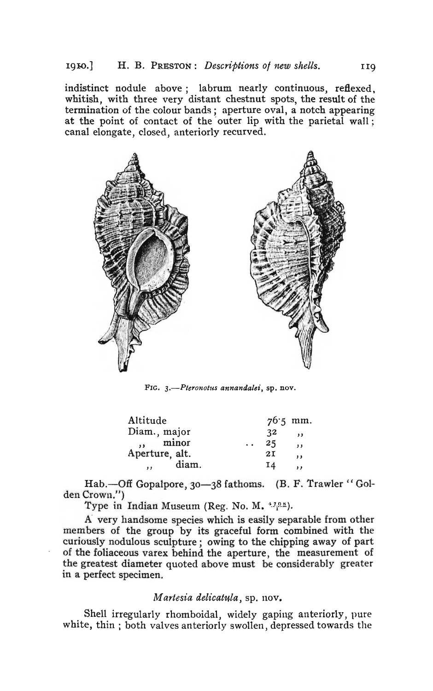indistinct nodule above; labrum nearly continuous, reflexed, whitish, with three very distant chestnut spots, the result of the termination of the colour bands; aperture oval, a notch appearing at the point of contact of the outer lip with the parietal wall; canal elongate, closed, anteriorly recurved.



FIG. 3.-Pteronotus annandalei, sp. nov.

| Altitude                |    | $76.5$ mm.               |
|-------------------------|----|--------------------------|
| Diam., major            | 32 | $\overline{\phantom{a}}$ |
| minor                   | 25 | 11                       |
| Aperture, alt.          | 2I | $\mathbf{1}$             |
| diam.<br>$\overline{1}$ | 14 | $, \,$                   |
|                         |    |                          |

Hab.--Off Gopalpore, 30-38 fathoms. (B. F. Trawler "Golden Crown,.")

Type in Indian Museum (Reg. No. M.  $\frac{1708}{1}$ ).

A' very handsome species which is easily separable from other members of the group by its graceful form combined with the curiously nodulous sculpture; owing to the chipping away of part of the foliaceous varex behind the aperture, the measurement of the greatest diameter quoted above must be considerably greater in a perfect specimen.

## *Martesia delicatula*, sp. nov.

Shell irregularly rhomboidal, widely gaping anteriorly, pure white, thin; both valves anteriorly swollen, depressed towards the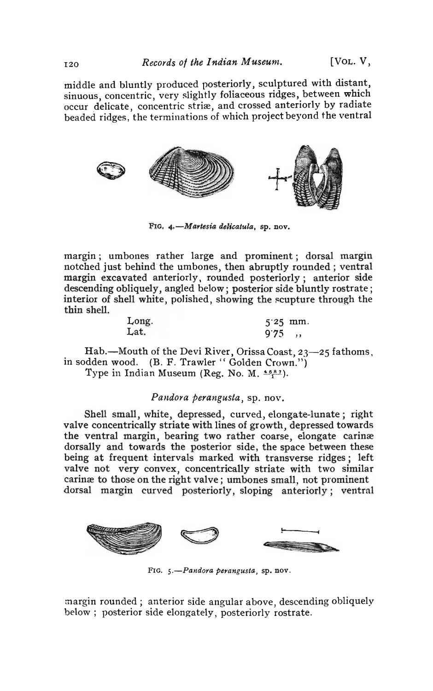middle and bluntly produced posteriorly, sculptured with distant, sinuous, concentric, very slightly foliaceous ridges, between which occur delicate, concentric striæ, and crossed anteriorly by radiate beaded ridges, the terminations of which project beyond the ventral



FIG. 4.-Martesia delicatula, sp. nov.

margin; umbones rather large and prominent; dorsal margin notched just behind the umbones, then abruptly rounded; ventral margin excavated anteriorly, rounded posteriorly; anterior side descending obliquely, angled below; posterior side bluntly rostrate; interior of shell white, polished, showing the scupture through the thin shell.

| Long. | $5'25$ mm. |  |
|-------|------------|--|
| Lat.  | $9.75$ ,   |  |

Hab.-Mouth of the Devi River, Orissa Coast,  $23$ -25 fathoms, in sodden wood. (B. F. Trawler "Golden Crown.") Type in Indian Museum (Reg. No. M.  $55/1$ ).

#### *Pandora perangusta*, sp. nov.

Shell small, white, depressed, curved, elongate-lunate; right valve concentrically striate with lines of growth, depressed towards the ventral margin, bearing two rather coarse, elongate carinæ dorsally and towards the posterior side, the space between these being at frequent intervals marked with transverse ridges; left valve not very convex, concentrically striate with two similar caring to those on the right valve; umbones small, not prominent dorsal margin curved posteriorly, sloping anteriorly; ventral



FIG. 5.-Pandora perangusta, sp. nov.

margin rounded; anterior side angular above, descending obliquely below; posterior side elongately, posteriorly rostrate.